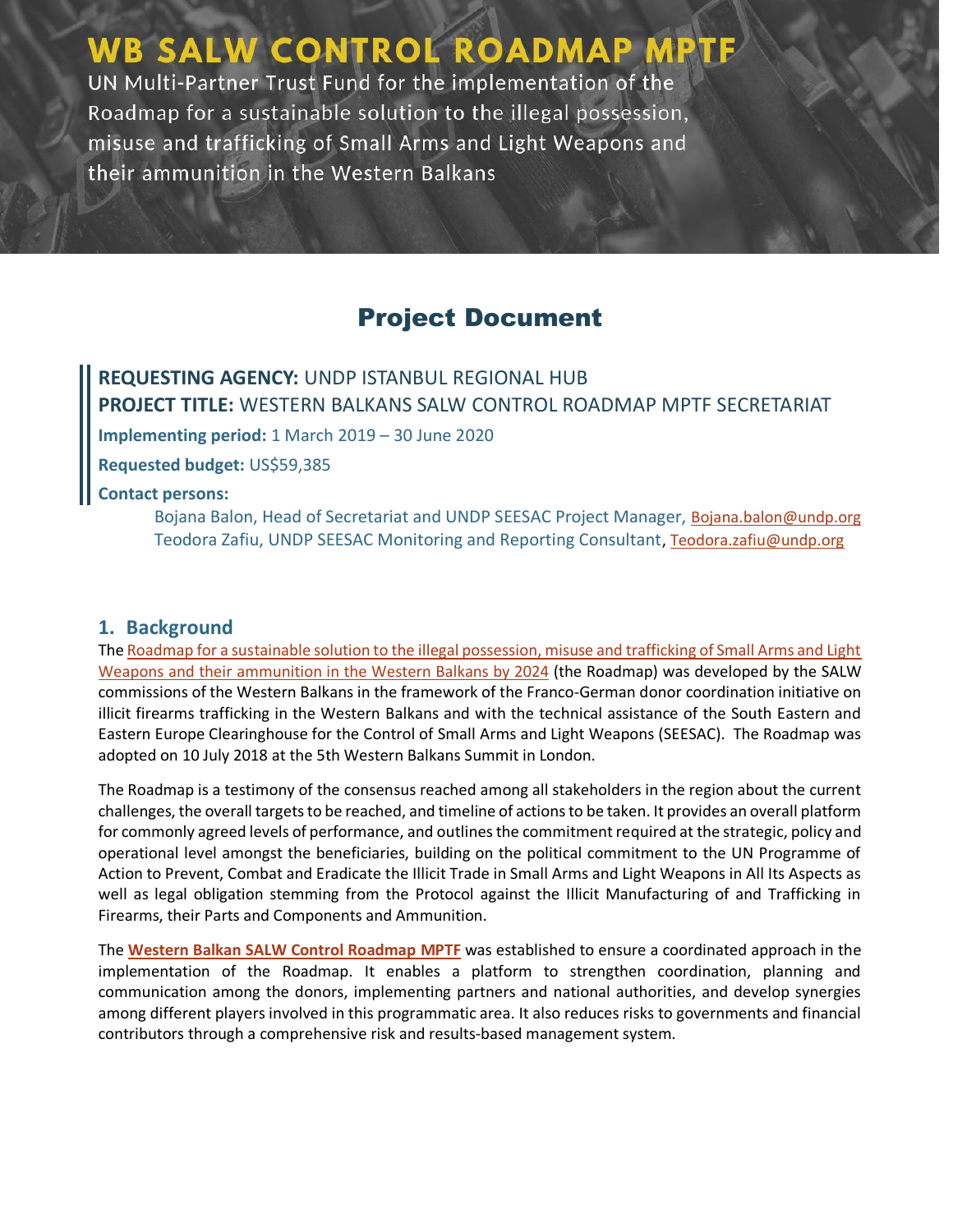# **WB SALW CONTROL ROADMAP MPTF**

UN Multi-Partner Trust Fund for the implementation of the Roadmap for a sustainable solution to the illegal possession, misuse and trafficking of Small Arms and Light Weapons and their ammunition in the Western Balkans

### Project Document

**REQUESTING AGENCY:** UNDP ISTANBUL REGIONAL HUB **PROJECT TITLE:** WESTERN BALKANS SALW CONTROL ROADMAP MPTF SECRETARIAT **Implementing period:** 1 March 2019 – 30 June 2020 **Requested budget:** US\$59,385 **Contact persons:**  Bojana Balon, Head of Secretariat and UNDP SEESAC Project Manager, [Bojana.balon@undp.org](mailto:Bojana.balon@undp.org) Teodora Zafiu, UNDP SEESAC Monitoring and Reporting Consultant[, Teodora.zafiu@undp.org](mailto:Teodora.zafiu@undp.org)

#### **1. Background**

Th[e Roadmap for a sustainable solution to the illegal possession, misuse and trafficking of Small Arms and Light](http://www.seesac.org/f/docs/News-SALW/Roadmap-for-sustainable-solution.pdf)  [Weapons and their ammunition in the Western Balkans by 2024](http://www.seesac.org/f/docs/News-SALW/Roadmap-for-sustainable-solution.pdf) (the Roadmap) was developed by the SALW commissions of the Western Balkans in the framework of the Franco-German donor coordination initiative on illicit firearms trafficking in the Western Balkans and with the technical assistance of the South Eastern and Eastern Europe Clearinghouse for the Control of Small Arms and Light Weapons (SEESAC). The Roadmap was adopted on 10 July 2018 at the 5th Western Balkans Summit in London.

The Roadmap is a testimony of the consensus reached among all stakeholders in the region about the current challenges, the overall targets to be reached, and timeline of actions to be taken. It provides an overall platform for commonly agreed levels of performance, and outlines the commitment required at the strategic, policy and operational level amongst the beneficiaries, building on the political commitment to the UN Programme of Action to Prevent, Combat and Eradicate the Illicit Trade in Small Arms and Light Weapons in All Its Aspects as well as legal obligation stemming from the Protocol against the Illicit Manufacturing of and Trafficking in Firearms, their Parts and Components and Ammunition.

The **[Western Balkan SALW Control Roadmap MPTF](http://mptf.undp.org/factsheet/fund/SLW00)** was established to ensure a coordinated approach in the implementation of the Roadmap. It enables a platform to strengthen coordination, planning and communication among the donors, implementing partners and national authorities, and develop synergies among different players involved in this programmatic area. It also reduces risks to governments and financial contributors through a comprehensive risk and results-based management system.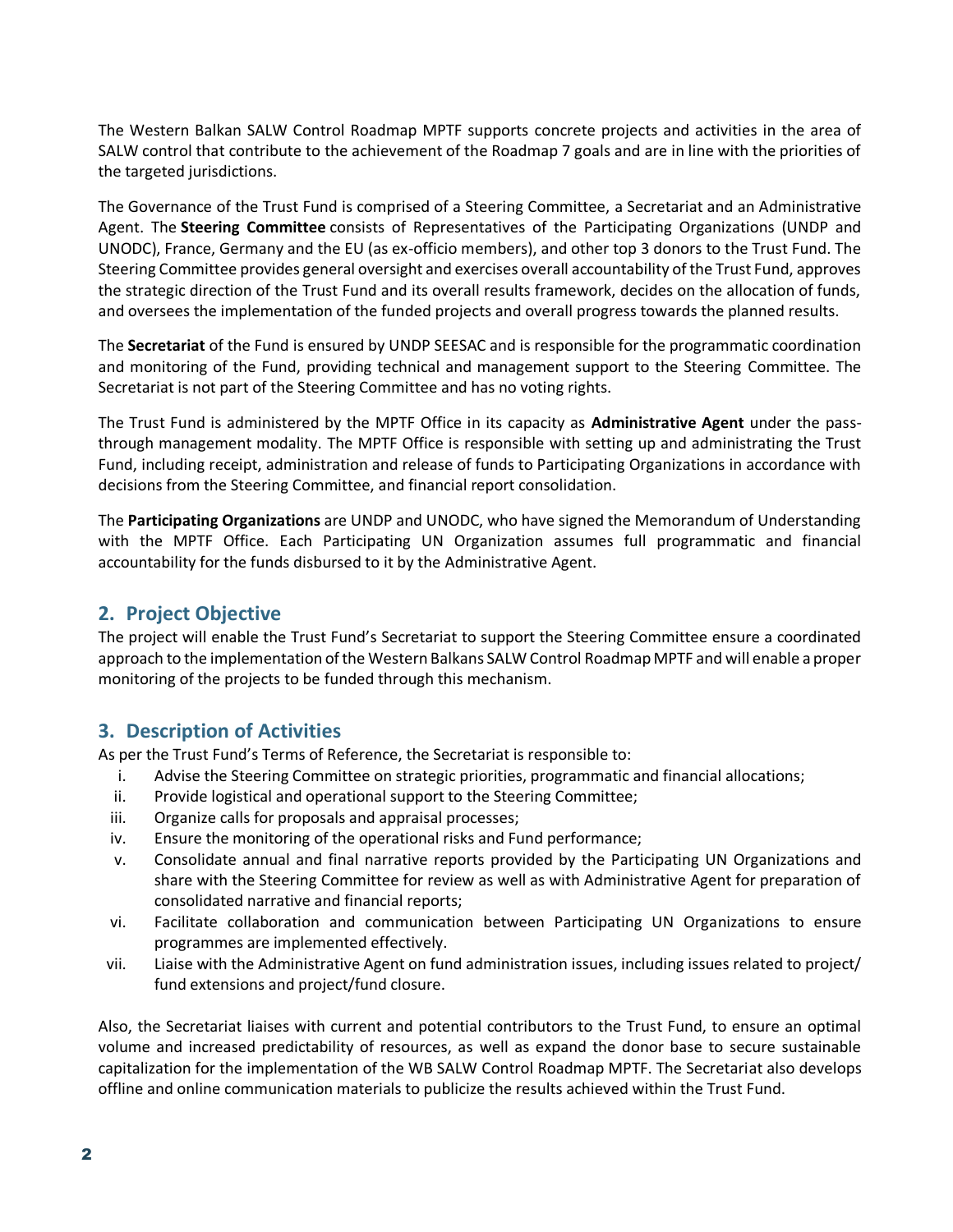The Western Balkan SALW Control Roadmap MPTF supports concrete projects and activities in the area of SALW control that contribute to the achievement of the Roadmap 7 goals and are in line with the priorities of the targeted jurisdictions.

The Governance of the Trust Fund is comprised of a Steering Committee, a Secretariat and an Administrative Agent. The **Steering Committee** consists of Representatives of the Participating Organizations (UNDP and UNODC), France, Germany and the EU (as ex-officio members), and other top 3 donors to the Trust Fund. The Steering Committee provides general oversight and exercises overall accountability of the Trust Fund, approves the strategic direction of the Trust Fund and its overall results framework, decides on the allocation of funds, and oversees the implementation of the funded projects and overall progress towards the planned results.

The **Secretariat** of the Fund is ensured by UNDP SEESAC and is responsible for the programmatic coordination and monitoring of the Fund, providing technical and management support to the Steering Committee. The Secretariat is not part of the Steering Committee and has no voting rights.

The Trust Fund is administered by the MPTF Office in its capacity as **Administrative Agent** under the passthrough management modality. The MPTF Office is responsible with setting up and administrating the Trust Fund, including receipt, administration and release of funds to Participating Organizations in accordance with decisions from the Steering Committee, and financial report consolidation.

The **Participating Organizations** are UNDP and UNODC, who have signed the Memorandum of Understanding with the MPTF Office. Each Participating UN Organization assumes full programmatic and financial accountability for the funds disbursed to it by the Administrative Agent.

#### **2. Project Objective**

The project will enable the Trust Fund's Secretariat to support the Steering Committee ensure a coordinated approach to the implementation of the Western Balkans SALW Control Roadmap MPTF and will enable a proper monitoring of the projects to be funded through this mechanism.

#### **3. Description of Activities**

As per the Trust Fund's Terms of Reference, the Secretariat is responsible to:

- i. Advise the Steering Committee on strategic priorities, programmatic and financial allocations;
- ii. Provide logistical and operational support to the Steering Committee;
- iii. Organize calls for proposals and appraisal processes;
- iv. Ensure the monitoring of the operational risks and Fund performance;
- v. Consolidate annual and final narrative reports provided by the Participating UN Organizations and share with the Steering Committee for review as well as with Administrative Agent for preparation of consolidated narrative and financial reports;
- vi. Facilitate collaboration and communication between Participating UN Organizations to ensure programmes are implemented effectively.
- vii. Liaise with the Administrative Agent on fund administration issues, including issues related to project/ fund extensions and project/fund closure.

Also, the Secretariat liaises with current and potential contributors to the Trust Fund, to ensure an optimal volume and increased predictability of resources, as well as expand the donor base to secure sustainable capitalization for the implementation of the WB SALW Control Roadmap MPTF. The Secretariat also develops offline and online communication materials to publicize the results achieved within the Trust Fund.